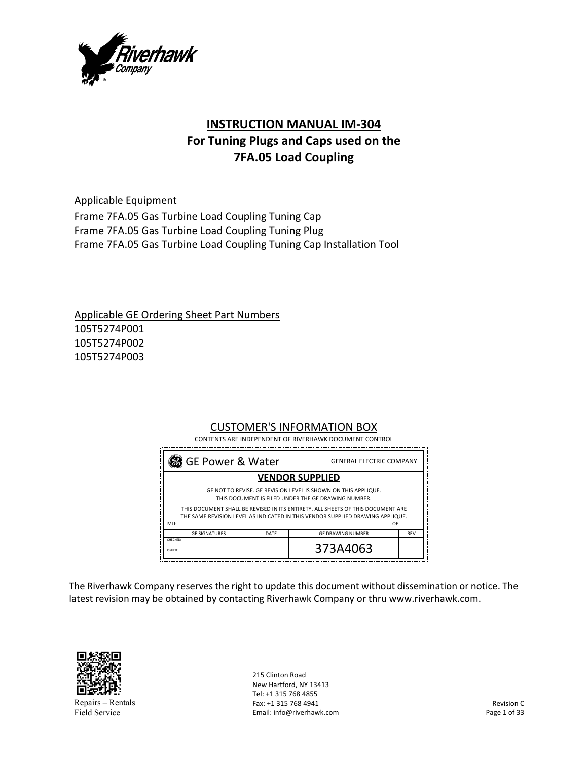

# **INSTRUCTION MANUAL IM‐304 For Tuning Plugs and Caps used on the 7FA.05 Load Coupling**

Applicable Equipment

Frame 7FA.05 Gas Turbine Load Coupling Tuning Cap Frame 7FA.05 Gas Turbine Load Coupling Tuning Plug Frame 7FA.05 Gas Turbine Load Coupling Tuning Cap Installation Tool

Applicable GE Ordering Sheet Part Numbers 105T5274P001 105T5274P002 105T5274P003

## CUSTOMER'S INFORMATION BOX

| 38 GE Power & Water                                                                                                                                                                       |      | <b>GENERAL ELECTRIC COMPANY</b> |            |
|-------------------------------------------------------------------------------------------------------------------------------------------------------------------------------------------|------|---------------------------------|------------|
| <b>VENDOR SUPPLIED</b>                                                                                                                                                                    |      |                                 |            |
| GE NOT TO REVISE. GE REVISION LEVEL IS SHOWN ON THIS APPLIQUE.<br>THIS DOCUMENT IS FILED UNDER THE GE DRAWING NUMBER.                                                                     |      |                                 |            |
| THIS DOCUMENT SHALL BE REVISED IN ITS ENTIRETY. ALL SHEETS OF THIS DOCUMENT ARE<br>THE SAME REVISION LEVEL AS INDICATED IN THIS VENDOR SUPPLIED DRAWING APPLIQUE.<br>MLI:<br>OF <b>DE</b> |      |                                 |            |
| <b>GE SIGNATURES</b>                                                                                                                                                                      | DATE | <b>GE DRAWING NUMBER</b>        | <b>REV</b> |
| CHECKED:<br>ISSUED:                                                                                                                                                                       |      | 373A4063                        |            |

The Riverhawk Company reserves the right to update this document without dissemination or notice. The latest revision may be obtained by contacting Riverhawk Company or thru www.riverhawk.com.



Repairs – Rentals Field Service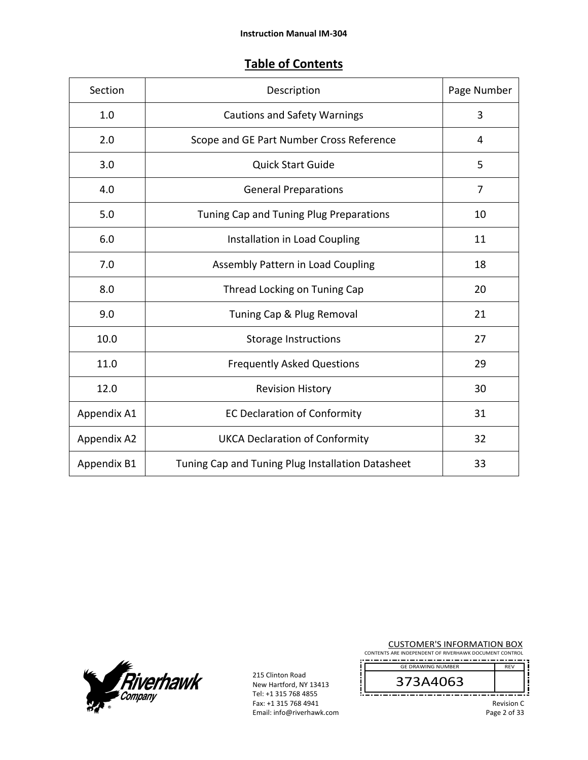## **Table of Contents**

| Section     | Description                                       | Page Number    |
|-------------|---------------------------------------------------|----------------|
| 1.0         | <b>Cautions and Safety Warnings</b>               | 3              |
| 2.0         | Scope and GE Part Number Cross Reference          | 4              |
| 3.0         | <b>Quick Start Guide</b>                          | 5              |
| 4.0         | <b>General Preparations</b>                       | $\overline{7}$ |
| 5.0         | Tuning Cap and Tuning Plug Preparations           | 10             |
| 6.0         | Installation in Load Coupling                     | 11             |
| 7.0         | Assembly Pattern in Load Coupling                 | 18             |
| 8.0         | Thread Locking on Tuning Cap                      | 20             |
| 9.0         | Tuning Cap & Plug Removal                         | 21             |
| 10.0        | <b>Storage Instructions</b>                       | 27             |
| 11.0        | <b>Frequently Asked Questions</b>                 | 29             |
| 12.0        | <b>Revision History</b>                           | 30             |
| Appendix A1 | <b>EC Declaration of Conformity</b>               | 31             |
| Appendix A2 | <b>UKCA Declaration of Conformity</b>             | 32             |
| Appendix B1 | Tuning Cap and Tuning Plug Installation Datasheet | 33             |



215 Clinton Road New Hartford, NY 13413 Tel: +1 315 768 4855 Fax: +1 315 768 4941 Email: info@riverhawk.com CUSTOMER'S INFORMATION BOX

CONTENTS ARE INDEPENDENT OF RIVERHAWK DOCUMENT CONTROL GE DRAWING NUMBER REV

373A4063 -------

> Revision C Page 2 of 33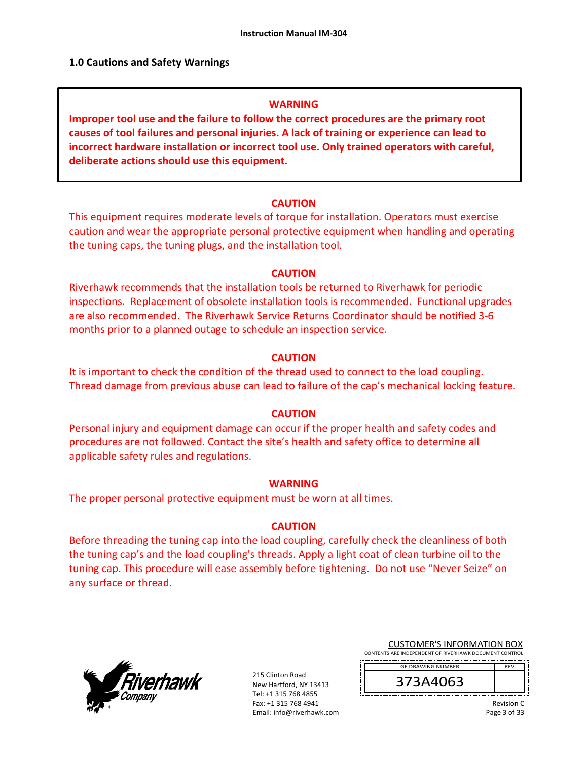### **1.0 Cautions and Safety Warnings**

#### **WARNING**

**Improper tool use and the failure to follow the correct procedures are the primary root causes of tool failures and personal injuries. A lack of training or experience can lead to incorrect hardware installation or incorrect tool use. Only trained operators with careful, deliberate actions should use this equipment.** 

#### **CAUTION**

This equipment requires moderate levels of torque for installation. Operators must exercise caution and wear the appropriate personal protective equipment when handling and operating the tuning caps, the tuning plugs, and the installation tool.

#### **CAUTION**

Riverhawk recommends that the installation tools be returned to Riverhawk for periodic inspections. Replacement of obsolete installation tools is recommended. Functional upgrades are also recommended. The Riverhawk Service Returns Coordinator should be notified 3‐6 months prior to a planned outage to schedule an inspection service.

#### **CAUTION**

It is important to check the condition of the thread used to connect to the load coupling. Thread damage from previous abuse can lead to failure of the cap's mechanical locking feature.

#### **CAUTION**

Personal injury and equipment damage can occur if the proper health and safety codes and procedures are not followed. Contact the site's health and safety office to determine all applicable safety rules and regulations.

#### **WARNING**

The proper personal protective equipment must be worn at all times.

#### **CAUTION**

Before threading the tuning cap into the load coupling, carefully check the cleanliness of both the tuning cap's and the load coupling's threads. Apply a light coat of clean turbine oil to the tuning cap. This procedure will ease assembly before tightening. Do not use "Never Seize" on any surface or thread.



215 Clinton Road New Hartford, NY 13413 Tel: +1 315 768 4855 Fax: +1 315 768 4941 Email: info@riverhawk.com

| <b>CUSTOMER'S INFORMATION BOX</b>                      |
|--------------------------------------------------------|
| CONTENTS ARE INDEPENDENT OF RIVERHAWK DOCUMENT CONTROL |
|                                                        |

GE DRAWING NUMBER

373A4063

Revision C Page 3 of 33

REV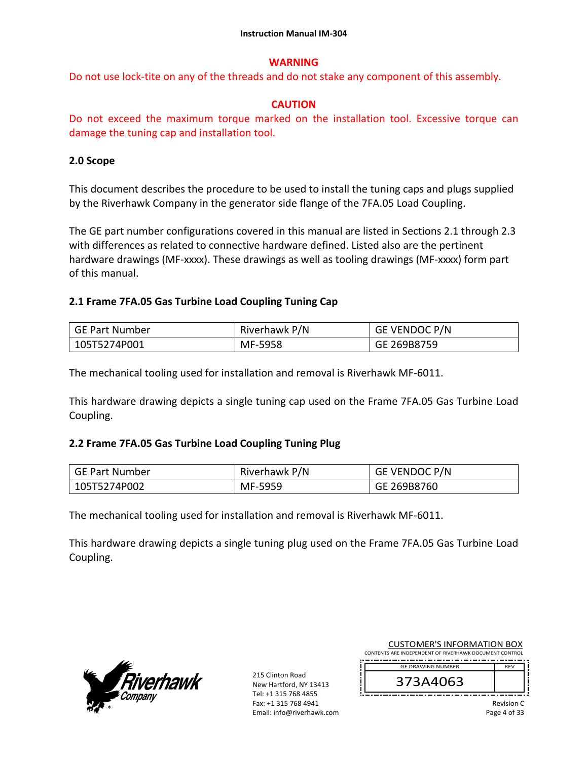## **WARNING**

Do not use lock‐tite on any of the threads and do not stake any component of this assembly.

## **CAUTION**

Do not exceed the maximum torque marked on the installation tool. Excessive torque can damage the tuning cap and installation tool.

### **2.0 Scope**

This document describes the procedure to be used to install the tuning caps and plugs supplied by the Riverhawk Company in the generator side flange of the 7FA.05 Load Coupling.

The GE part number configurations covered in this manual are listed in Sections 2.1 through 2.3 with differences as related to connective hardware defined. Listed also are the pertinent hardware drawings (MF‐xxxx). These drawings as well as tooling drawings (MF‐xxxx) form part of this manual.

## **2.1 Frame 7FA.05 Gas Turbine Load Coupling Tuning Cap**

| GE Part Number | Riverhawk P/N | <b>GE VENDOC P/N</b> |
|----------------|---------------|----------------------|
| 105T5274P001   | MF-5958       | GE 269B8759          |

The mechanical tooling used for installation and removal is Riverhawk MF‐6011.

This hardware drawing depicts a single tuning cap used on the Frame 7FA.05 Gas Turbine Load Coupling.

### **2.2 Frame 7FA.05 Gas Turbine Load Coupling Tuning Plug**

| GE Part Number | Riverhawk P/N | <b>GE VENDOC P/N</b> |
|----------------|---------------|----------------------|
| 105T5274P002   | MF-5959       | GE 269B8760          |

The mechanical tooling used for installation and removal is Riverhawk MF‐6011.

This hardware drawing depicts a single tuning plug used on the Frame 7FA.05 Gas Turbine Load Coupling.



| <b>CUSTOMER'S INFORMATION BOX</b>                      |            |  |
|--------------------------------------------------------|------------|--|
| CONTENTS ARE INDEPENDENT OF RIVERHAWK DOCUMENT CONTROL |            |  |
| <b>GE DRAWING NUMBER</b>                               | <b>RFV</b> |  |
| 373A4063                                               |            |  |
|                                                        | .          |  |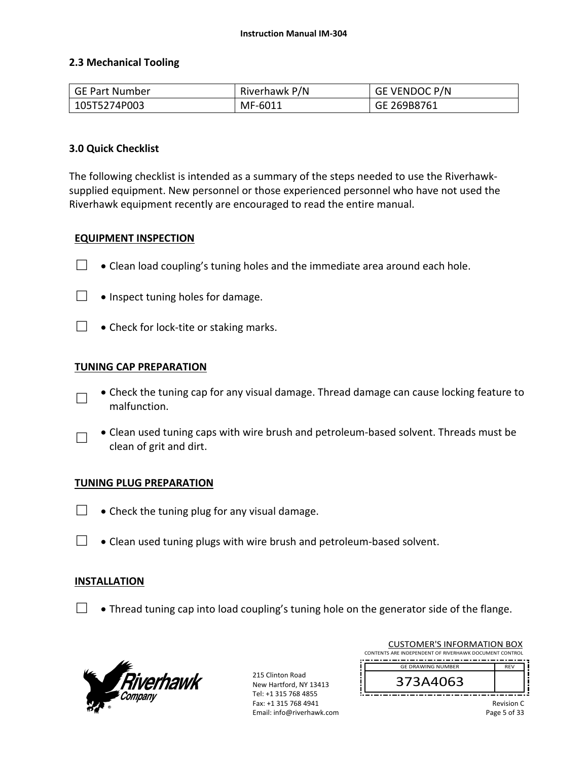### **2.3 Mechanical Tooling**

| GE Part Number | Riverhawk P/N | GE VENDOC P/N |
|----------------|---------------|---------------|
| 105T5274P003   | MF-6011       | GE 269B8761   |

#### **3.0 Quick Checklist**

The following checklist is intended as a summary of the steps needed to use the Riverhawk‐ supplied equipment. New personnel or those experienced personnel who have not used the Riverhawk equipment recently are encouraged to read the entire manual.

#### **EQUIPMENT INSPECTION**

- $\Box$   $\bullet$  Clean load coupling's tuning holes and the immediate area around each hole.
- $\Box$  . Inspect tuning holes for damage.
- $\Box \bullet$  Check for lock-tite or staking marks.

#### **TUNING CAP PREPARATION**

- □ Check the tuning cap for any visual damage. Thread damage can cause locking feature to malfunction.
- □ Clean used tuning caps with wire brush and petroleum‐based solvent. Threads must be clean of grit and dirt.

#### **TUNING PLUG PREPARATION**

- $\Box$   $\bullet$  Check the tuning plug for any visual damage.
- $\Box$   $\bullet$  Clean used tuning plugs with wire brush and petroleum-based solvent.

### **INSTALLATION**

 $\Box$  • Thread tuning cap into load coupling's tuning hole on the generator side of the flange.



215 Clinton Road New Hartford, NY 13413 Tel: +1 315 768 4855 Fax: +1 315 768 4941 Email: info@riverhawk.com

| CONTENTS ARE INDEPENDENT OF RIVERHAWK DOCUMENT CONTROL |            |  |
|--------------------------------------------------------|------------|--|
| <b>GE DRAWING NUMBER</b>                               | <b>RFV</b> |  |
| 373A4063                                               |            |  |
|                                                        |            |  |

CUSTOMER'S INFORMATION BOX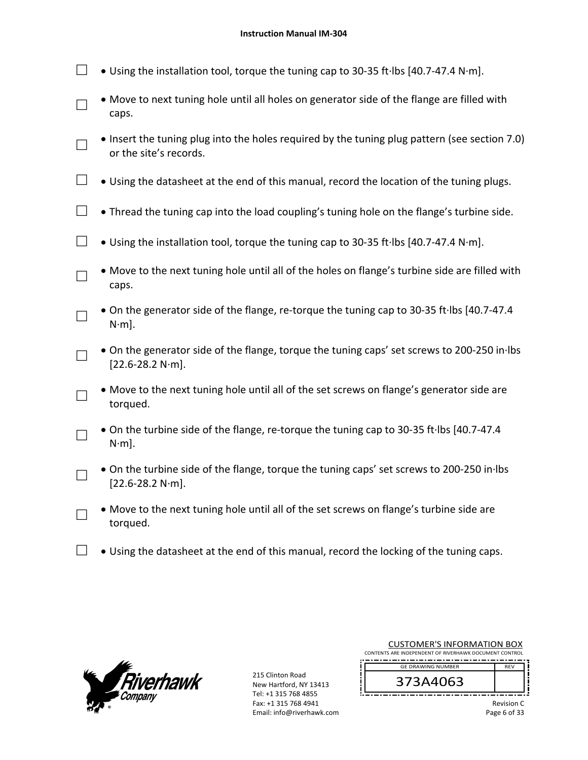- □ Using the installation tool, torque the tuning cap to 30‐35 ft∙lbs [40.7‐47.4 N∙m].
- □ Move to next tuning hole until all holes on generator side of the flange are filled with caps.
- □ • Insert the tuning plug into the holes required by the tuning plug pattern (see section 7.0) or the site's records.
- $□$   $\bullet$  Using the datasheet at the end of this manual, record the location of the tuning plugs.
- $\Box$  Thread the tuning cap into the load coupling's tuning hole on the flange's turbine side.
- □ Using the installation tool, torque the tuning cap to 30‐35 ft∙lbs [40.7‐47.4 N∙m].
	- Move to the next tuning hole until all of the holes on flange's turbine side are filled with caps.
- □ On the generator side of the flange, re‐torque the tuning cap to 30‐35 ft∙lbs [40.7‐47.4 N∙m].
- □ On the generator side of the flange, torque the tuning caps' set screws to 200‐250 in∙lbs [22.6‐28.2 N∙m].
- □ Move to the next tuning hole until all of the set screws on flange's generator side are torqued.
- □ On the turbine side of the flange, re‐torque the tuning cap to 30‐35 ft∙lbs [40.7‐47.4 N∙m].
- □ On the turbine side of the flange, torque the tuning caps' set screws to 200‐250 in∙lbs [22.6‐28.2 N∙m].
- □ Move to the next tuning hole until all of the set screws on flange's turbine side are torqued.
- $□$   $\bullet$  Using the datasheet at the end of this manual, record the locking of the tuning caps.



□

215 Clinton Road New Hartford, NY 13413 Tel: +1 315 768 4855 Fax: +1 315 768 4941 Email: info@riverhawk.com

| CONTENTS ARE INDEPENDENT OF RIVERHAWK DOCUMENT CONTROL |             |
|--------------------------------------------------------|-------------|
| <b>GE DRAWING NUMBER</b>                               | REV         |
| 373A4063                                               |             |
|                                                        | $D = 0.555$ |

CUSTOMER'S INFORMATION BOX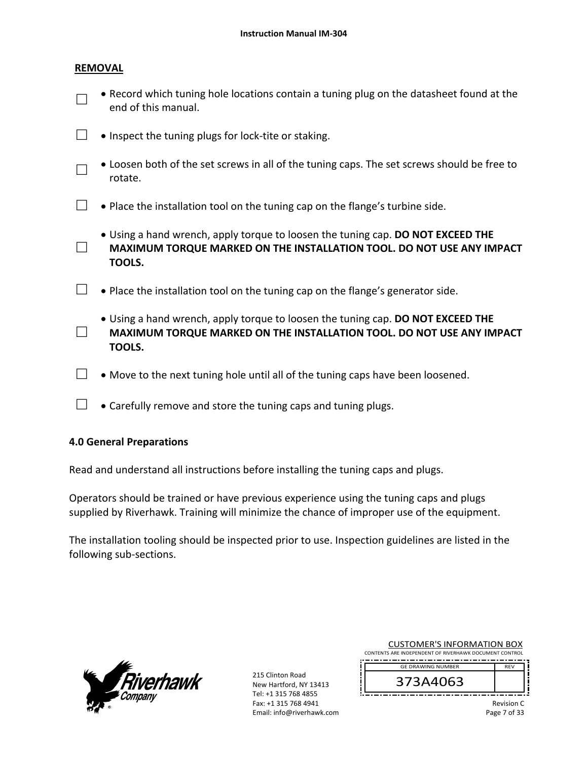#### **REMOVAL**

□

□

□

| $\Box$ • Record which tuning hole locations contain a tuning plug on the datasheet found at the |
|-------------------------------------------------------------------------------------------------|
| end of this manual.                                                                             |

- □ Inspect the tuning plugs for lock-tite or staking.
	- Loosen both of the set screws in all of the tuning caps. The set screws should be free to rotate.
- $\Box$   $\bullet$  Place the installation tool on the tuning cap on the flange's turbine side.
	- Using a hand wrench, apply torque to loosen the tuning cap. **DO NOT EXCEED THE MAXIMUM TORQUE MARKED ON THE INSTALLATION TOOL. DO NOT USE ANY IMPACT TOOLS.**
- $\Box$  Place the installation tool on the tuning cap on the flange's generator side.
	- Using a hand wrench, apply torque to loosen the tuning cap. **DO NOT EXCEED THE MAXIMUM TORQUE MARKED ON THE INSTALLATION TOOL. DO NOT USE ANY IMPACT TOOLS.**
- $\Box$   $\bullet$  Move to the next tuning hole until all of the tuning caps have been loosened.
- $\Box$   $\bullet$  Carefully remove and store the tuning caps and tuning plugs.

### **4.0 General Preparations**

Read and understand all instructions before installing the tuning caps and plugs.

Operators should be trained or have previous experience using the tuning caps and plugs supplied by Riverhawk. Training will minimize the chance of improper use of the equipment.

The installation tooling should be inspected prior to use. Inspection guidelines are listed in the following sub‐sections.



215 Clinton Road New Hartford, NY 13413 Tel: +1 315 768 4855 Fax: +1 315 768 4941 Email: info@riverhawk.com

| <b>CUSTOMER'S INFORMATION BOX</b>                      |            |  |
|--------------------------------------------------------|------------|--|
| CONTENTS ARE INDEPENDENT OF RIVERHAWK DOCUMENT CONTROL |            |  |
| <b>GE DRAWING NUMBER</b>                               | <b>RFV</b> |  |
| 373A4063                                               |            |  |

Revision C Page 7 of 33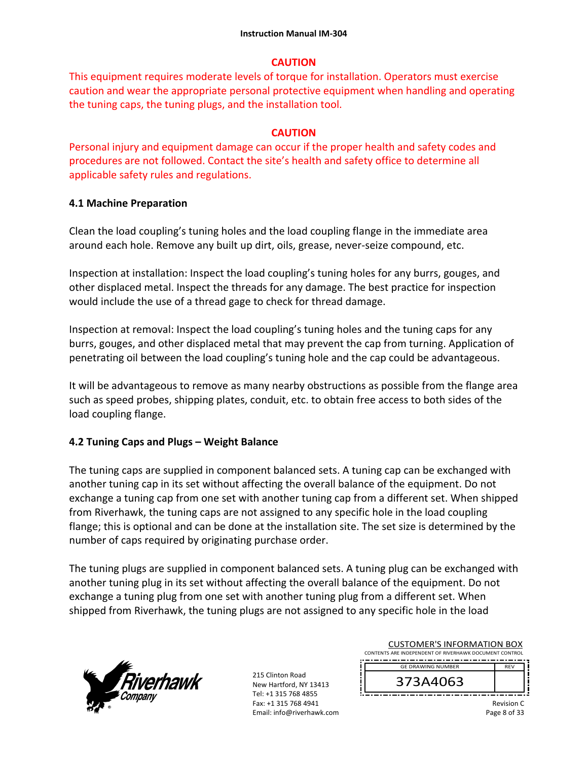## **CAUTION**

This equipment requires moderate levels of torque for installation. Operators must exercise caution and wear the appropriate personal protective equipment when handling and operating the tuning caps, the tuning plugs, and the installation tool.

## **CAUTION**

Personal injury and equipment damage can occur if the proper health and safety codes and procedures are not followed. Contact the site's health and safety office to determine all applicable safety rules and regulations.

## **4.1 Machine Preparation**

Clean the load coupling's tuning holes and the load coupling flange in the immediate area around each hole. Remove any built up dirt, oils, grease, never‐seize compound, etc.

Inspection at installation: Inspect the load coupling's tuning holes for any burrs, gouges, and other displaced metal. Inspect the threads for any damage. The best practice for inspection would include the use of a thread gage to check for thread damage.

Inspection at removal: Inspect the load coupling's tuning holes and the tuning caps for any burrs, gouges, and other displaced metal that may prevent the cap from turning. Application of penetrating oil between the load coupling's tuning hole and the cap could be advantageous.

It will be advantageous to remove as many nearby obstructions as possible from the flange area such as speed probes, shipping plates, conduit, etc. to obtain free access to both sides of the load coupling flange.

## **4.2 Tuning Caps and Plugs – Weight Balance**

The tuning caps are supplied in component balanced sets. A tuning cap can be exchanged with another tuning cap in its set without affecting the overall balance of the equipment. Do not exchange a tuning cap from one set with another tuning cap from a different set. When shipped from Riverhawk, the tuning caps are not assigned to any specific hole in the load coupling flange; this is optional and can be done at the installation site. The set size is determined by the number of caps required by originating purchase order.

The tuning plugs are supplied in component balanced sets. A tuning plug can be exchanged with another tuning plug in its set without affecting the overall balance of the equipment. Do not exchange a tuning plug from one set with another tuning plug from a different set. When shipped from Riverhawk, the tuning plugs are not assigned to any specific hole in the load



| <b>CUSTOMER'S INFORMATION BOX</b><br>CONTENTS ARE INDEPENDENT OF RIVERHAWK DOCUMENT CONTROL |            |  |
|---------------------------------------------------------------------------------------------|------------|--|
| <b>GE DRAWING NUMBER</b>                                                                    | <b>RFV</b> |  |
| 373A4063                                                                                    |            |  |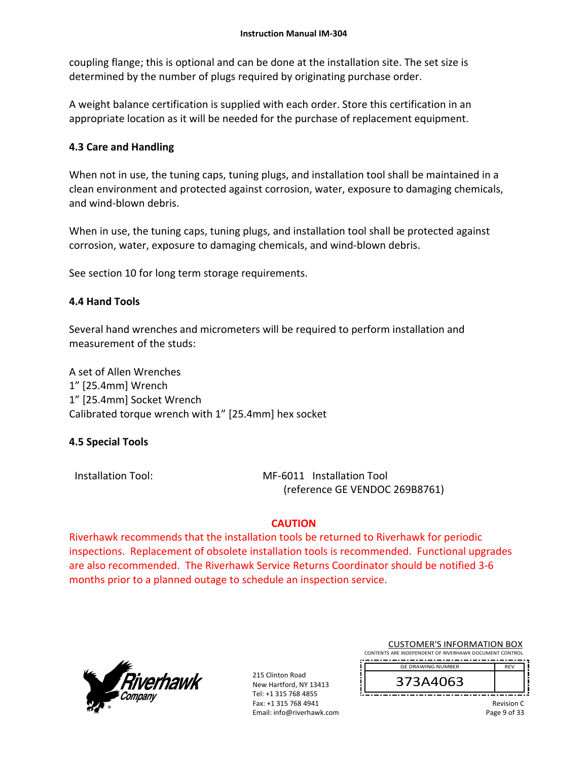coupling flange; this is optional and can be done at the installation site. The set size is determined by the number of plugs required by originating purchase order.

A weight balance certification is supplied with each order. Store this certification in an appropriate location as it will be needed for the purchase of replacement equipment.

## **4.3 Care and Handling**

When not in use, the tuning caps, tuning plugs, and installation tool shall be maintained in a clean environment and protected against corrosion, water, exposure to damaging chemicals, and wind‐blown debris.

When in use, the tuning caps, tuning plugs, and installation tool shall be protected against corrosion, water, exposure to damaging chemicals, and wind‐blown debris.

See section 10 for long term storage requirements.

## **4.4 Hand Tools**

Several hand wrenches and micrometers will be required to perform installation and measurement of the studs:

A set of Allen Wrenches 1" [25.4mm] Wrench 1" [25.4mm] Socket Wrench Calibrated torque wrench with 1" [25.4mm] hex socket

### **4.5 Special Tools**

Installation Tool: MF‐6011 Installation Tool (reference GE VENDOC 269B8761)

## **CAUTION**

Riverhawk recommends that the installation tools be returned to Riverhawk for periodic inspections. Replacement of obsolete installation tools is recommended. Functional upgrades are also recommended. The Riverhawk Service Returns Coordinator should be notified 3‐6 months prior to a planned outage to schedule an inspection service.



215 Clinton Road New Hartford, NY 13413 Tel: +1 315 768 4855 Fax: +1 315 768 4941 Email: info@riverhawk.com

| CUSTUIVIER STINFORIVIATION BOX                         |  |  |
|--------------------------------------------------------|--|--|
| CONTENTS ARE INDEPENDENT OF RIVERHAWK DOCUMENT CONTROL |  |  |
| --<br>--<br>--                                         |  |  |
| <b>GE DRAWING NUMBER</b>                               |  |  |

 $CUTONATION$  INFORMATION BOY



Revision C Page 9 of 33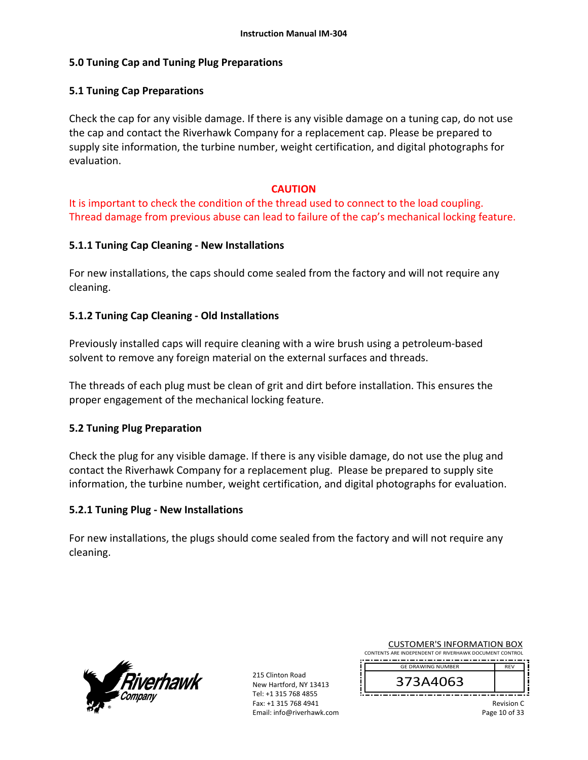## **5.0 Tuning Cap and Tuning Plug Preparations**

## **5.1 Tuning Cap Preparations**

Check the cap for any visible damage. If there is any visible damage on a tuning cap, do not use the cap and contact the Riverhawk Company for a replacement cap. Please be prepared to supply site information, the turbine number, weight certification, and digital photographs for evaluation.

### **CAUTION**

It is important to check the condition of the thread used to connect to the load coupling. Thread damage from previous abuse can lead to failure of the cap's mechanical locking feature.

## **5.1.1 Tuning Cap Cleaning ‐ New Installations**

For new installations, the caps should come sealed from the factory and will not require any cleaning.

## **5.1.2 Tuning Cap Cleaning ‐ Old Installations**

Previously installed caps will require cleaning with a wire brush using a petroleum‐based solvent to remove any foreign material on the external surfaces and threads.

The threads of each plug must be clean of grit and dirt before installation. This ensures the proper engagement of the mechanical locking feature.

## **5.2 Tuning Plug Preparation**

Check the plug for any visible damage. If there is any visible damage, do not use the plug and contact the Riverhawk Company for a replacement plug. Please be prepared to supply site information, the turbine number, weight certification, and digital photographs for evaluation.

### **5.2.1 Tuning Plug ‐ New Installations**

For new installations, the plugs should come sealed from the factory and will not require any cleaning.



215 Clinton Road New Hartford, NY 13413 Tel: +1 315 768 4855 Fax: +1 315 768 4941 Email: info@riverhawk.com

| CUSTUMER S INFORMATION BOX                             |  |
|--------------------------------------------------------|--|
| CONTENTS ARE INDEPENDENT OF RIVERHAWK DOCUMENT CONTROL |  |
|                                                        |  |
| <b>GE DRAWING NUMBER</b>                               |  |

CUSTOMER'S INFORMATION BOY

373A4063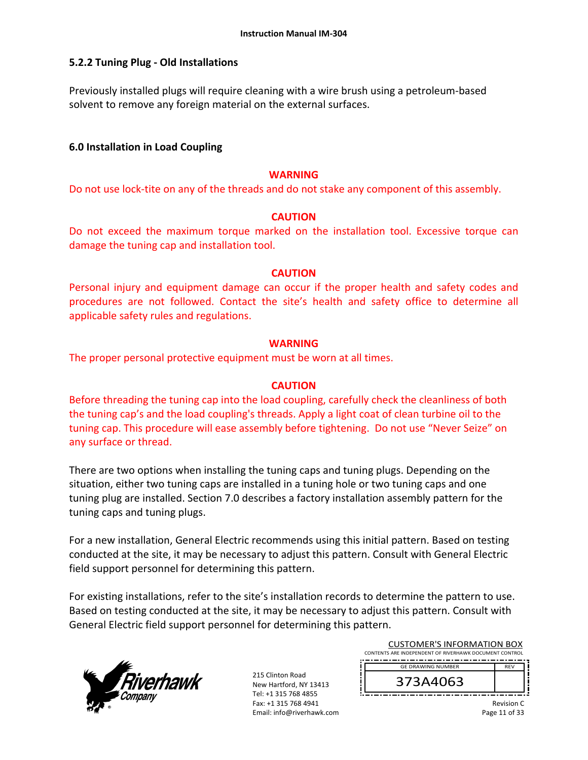## **5.2.2 Tuning Plug ‐ Old Installations**

Previously installed plugs will require cleaning with a wire brush using a petroleum‐based solvent to remove any foreign material on the external surfaces.

## **6.0 Installation in Load Coupling**

#### **WARNING**

Do not use lock-tite on any of the threads and do not stake any component of this assembly.

#### **CAUTION**

Do not exceed the maximum torque marked on the installation tool. Excessive torque can damage the tuning cap and installation tool.

#### **CAUTION**

Personal injury and equipment damage can occur if the proper health and safety codes and procedures are not followed. Contact the site's health and safety office to determine all applicable safety rules and regulations.

#### **WARNING**

The proper personal protective equipment must be worn at all times.

### **CAUTION**

Before threading the tuning cap into the load coupling, carefully check the cleanliness of both the tuning cap's and the load coupling's threads. Apply a light coat of clean turbine oil to the tuning cap. This procedure will ease assembly before tightening. Do not use "Never Seize" on any surface or thread.

There are two options when installing the tuning caps and tuning plugs. Depending on the situation, either two tuning caps are installed in a tuning hole or two tuning caps and one tuning plug are installed. Section 7.0 describes a factory installation assembly pattern for the tuning caps and tuning plugs.

For a new installation, General Electric recommends using this initial pattern. Based on testing conducted at the site, it may be necessary to adjust this pattern. Consult with General Electric field support personnel for determining this pattern.

For existing installations, refer to the site's installation records to determine the pattern to use. Based on testing conducted at the site, it may be necessary to adjust this pattern. Consult with General Electric field support personnel for determining this pattern.



215 Clinton Road New Hartford, NY 13413 Tel: +1 315 768 4855 Fax: +1 315 768 4941 Email: info@riverhawk.com

| <b>GE DRAWING NUMBER</b><br><b>RFV</b> |
|----------------------------------------|
| 373A4063                               |

CUSTOMER'S INFORMATION BOX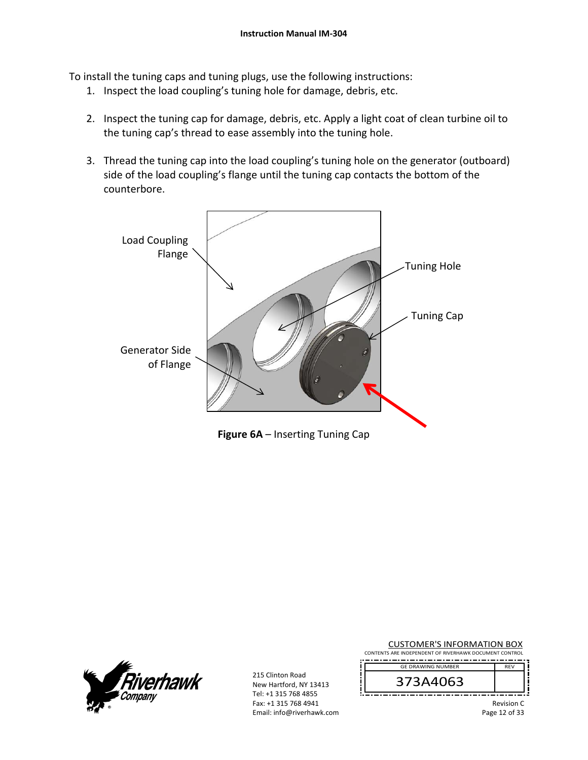To install the tuning caps and tuning plugs, use the following instructions:

- 1. Inspect the load coupling's tuning hole for damage, debris, etc.
- 2. Inspect the tuning cap for damage, debris, etc. Apply a light coat of clean turbine oil to the tuning cap's thread to ease assembly into the tuning hole.
- 3. Thread the tuning cap into the load coupling's tuning hole on the generator (outboard) side of the load coupling's flange until the tuning cap contacts the bottom of the counterbore.





215 Clinton Road New Hartford, NY 13413 Tel: +1 315 768 4855 Fax: +1 315 768 4941 Email: info@riverhawk.com

| CONTENTS ARE INDEPENDENT OF RIVERHAWK DOCUMENT CONTROL |            |
|--------------------------------------------------------|------------|
| <b>GE DRAWING NUMBER</b>                               | <b>RFV</b> |
| 373A4063                                               |            |
|                                                        | Revision C |

CUSTOMER'S INFORMATION BOX

Page 12 of 33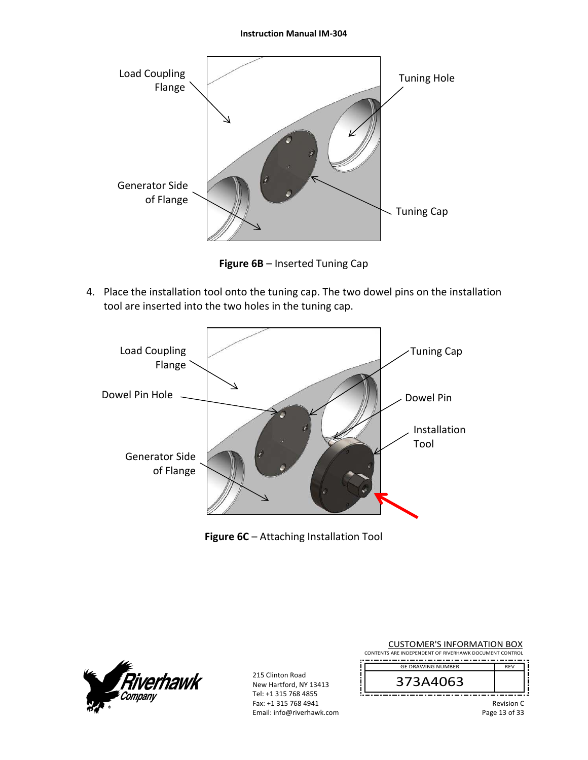

**Figure 6B** – Inserted Tuning Cap

4. Place the installation tool onto the tuning cap. The two dowel pins on the installation tool are inserted into the two holes in the tuning cap.



**Figure 6C** – Attaching Installation Tool



| <b>CUSTOMER'S INFORMATION BOX</b><br>CONTENTS ARE INDEPENDENT OF RIVERHAWK DOCUMENT CONTROL |                                    |
|---------------------------------------------------------------------------------------------|------------------------------------|
| <b>GE DRAWING NUMBER</b>                                                                    | <b>RFV</b>                         |
| 373A4063                                                                                    |                                    |
|                                                                                             | <b>Revision C</b><br>Page 13 of 33 |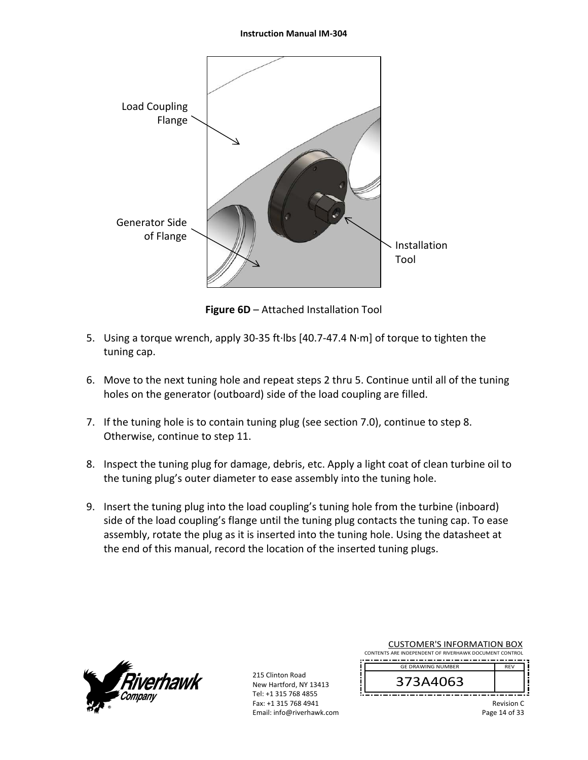

**Figure 6D** – Attached Installation Tool

- 5. Using a torque wrench, apply 30‐35 ft∙lbs [40.7‐47.4 N∙m] of torque to tighten the tuning cap.
- 6. Move to the next tuning hole and repeat steps 2 thru 5. Continue until all of the tuning holes on the generator (outboard) side of the load coupling are filled.
- 7. If the tuning hole is to contain tuning plug (see section 7.0), continue to step 8. Otherwise, continue to step 11.
- 8. Inspect the tuning plug for damage, debris, etc. Apply a light coat of clean turbine oil to the tuning plug's outer diameter to ease assembly into the tuning hole.
- 9. Insert the tuning plug into the load coupling's tuning hole from the turbine (inboard) side of the load coupling's flange until the tuning plug contacts the tuning cap. To ease assembly, rotate the plug as it is inserted into the tuning hole. Using the datasheet at the end of this manual, record the location of the inserted tuning plugs.



215 Clinton Road New Hartford, NY 13413 Tel: +1 315 768 4855 Fax: +1 315 768 4941 Email: info@riverhawk.com

| CONTENTS ARE INDEPENDENT OF RIVERHAWK DOCUMENT CONTROL |            |
|--------------------------------------------------------|------------|
| <b>GE DRAWING NUMBER</b>                               | <b>RFV</b> |
| .A4U                                                   |            |
|                                                        |            |

CUSTOMER'S INFORMATION BOX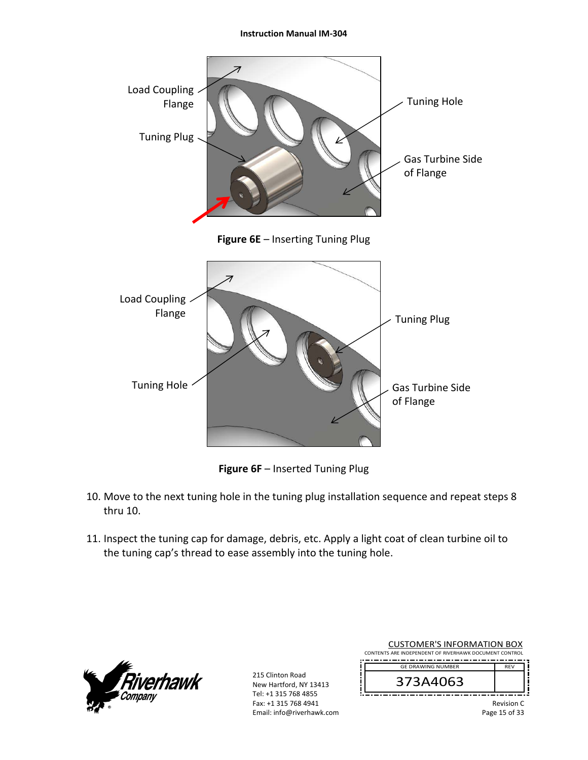

**Figure 6F** – Inserted Tuning Plug

- 10. Move to the next tuning hole in the tuning plug installation sequence and repeat steps 8 thru 10.
- 11. Inspect the tuning cap for damage, debris, etc. Apply a light coat of clean turbine oil to the tuning cap's thread to ease assembly into the tuning hole.



215 Clinton Road New Hartford, NY 13413 Tel: +1 315 768 4855 Fax: +1 315 768 4941 Email: info@riverhawk.com

| <b>CUSTOMER'S INFORMATION BOX</b><br>CONTENTS ARE INDEPENDENT OF RIVERHAWK DOCUMENT CONTROL |                        |  |
|---------------------------------------------------------------------------------------------|------------------------|--|
| <b>GE DRAWING NUMBER</b>                                                                    | <b>RFV</b>             |  |
| 373A4063                                                                                    |                        |  |
|                                                                                             | <b>Revision C</b><br>. |  |

Page 15 of 33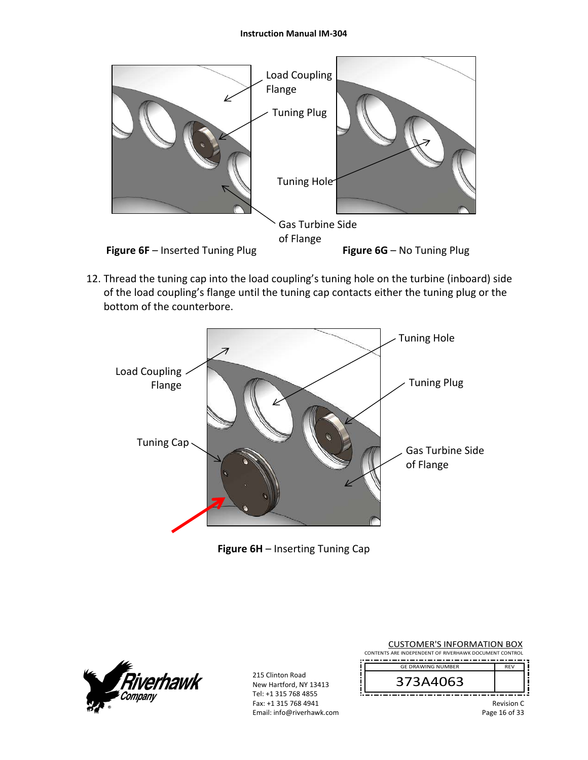

12. Thread the tuning cap into the load coupling's tuning hole on the turbine (inboard) side of the load coupling's flange until the tuning cap contacts either the tuning plug or the bottom of the counterbore.



## **Figure 6H** – Inserting Tuning Cap



| <b>CUSTOMER'S INFORMATION BOX</b><br>CONTENTS ARE INDEPENDENT OF RIVERHAWK DOCUMENT CONTROL |                             |  |  |
|---------------------------------------------------------------------------------------------|-----------------------------|--|--|
| <b>GF DRAWING NUMBER</b>                                                                    | <b>RFV</b>                  |  |  |
| 373A4063                                                                                    |                             |  |  |
|                                                                                             | Revision C<br>Page 16 of 33 |  |  |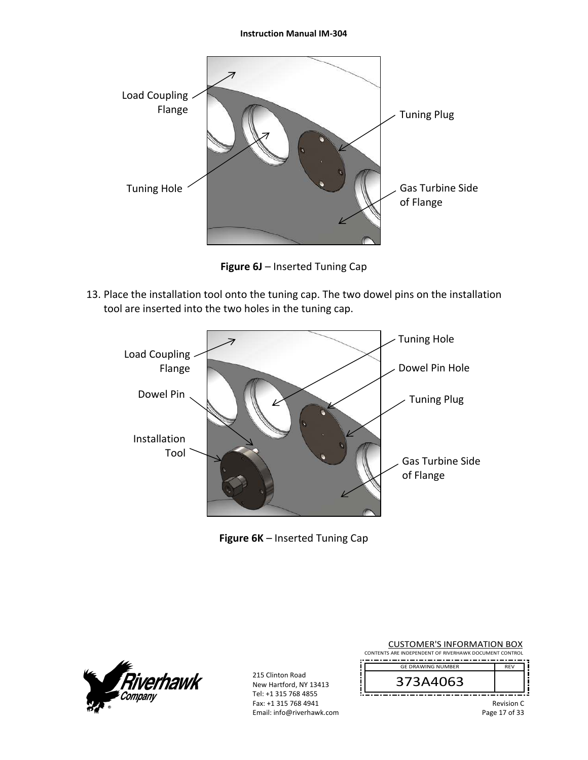

**Figure 6J** – Inserted Tuning Cap

13. Place the installation tool onto the tuning cap. The two dowel pins on the installation tool are inserted into the two holes in the tuning cap.



**Figure 6K** – Inserted Tuning Cap



| <b>CUSTOMER'S INFORMATION BOX</b><br>CONTENTS ARE INDEPENDENT OF RIVERHAWK DOCUMENT CONTROL |                                    |  |  |
|---------------------------------------------------------------------------------------------|------------------------------------|--|--|
| <b>GE DRAWING NUMBER</b>                                                                    | <b>RFV</b>                         |  |  |
| 373A4063                                                                                    |                                    |  |  |
|                                                                                             | <b>Revision C</b><br>Page 17 of 33 |  |  |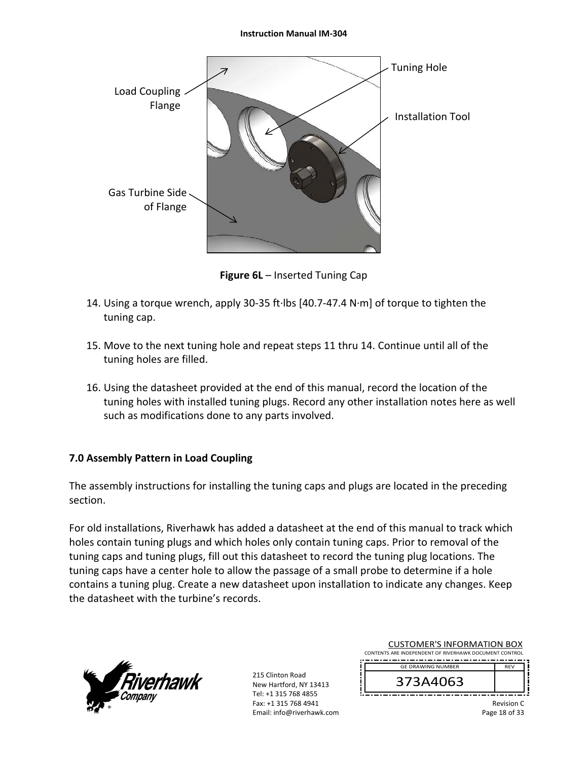

**Figure 6L** – Inserted Tuning Cap

- 14. Using a torque wrench, apply 30‐35 ft∙lbs [40.7‐47.4 N∙m] of torque to tighten the tuning cap.
- 15. Move to the next tuning hole and repeat steps 11 thru 14. Continue until all of the tuning holes are filled.
- 16. Using the datasheet provided at the end of this manual, record the location of the tuning holes with installed tuning plugs. Record any other installation notes here as well such as modifications done to any parts involved.

### **7.0 Assembly Pattern in Load Coupling**

The assembly instructions for installing the tuning caps and plugs are located in the preceding section.

For old installations, Riverhawk has added a datasheet at the end of this manual to track which holes contain tuning plugs and which holes only contain tuning caps. Prior to removal of the tuning caps and tuning plugs, fill out this datasheet to record the tuning plug locations. The tuning caps have a center hole to allow the passage of a small probe to determine if a hole contains a tuning plug. Create a new datasheet upon installation to indicate any changes. Keep the datasheet with the turbine's records.



215 Clinton Road New Hartford, NY 13413 Tel: +1 315 768 4855 Fax: +1 315 768 4941 Email: info@riverhawk.com

| COJI UNILIN JINI UNINIATION DOM<br>CONTENTS ARE INDEPENDENT OF RIVERHAWK DOCUMENT CONTROL |                          |            |  |
|-------------------------------------------------------------------------------------------|--------------------------|------------|--|
|                                                                                           | <b>GE DRAWING NUMBER</b> | <b>RFV</b> |  |
|                                                                                           | 373A4063                 |            |  |

CUSTOMER'S INFORMATION BOX

Revision C Page 18 of 33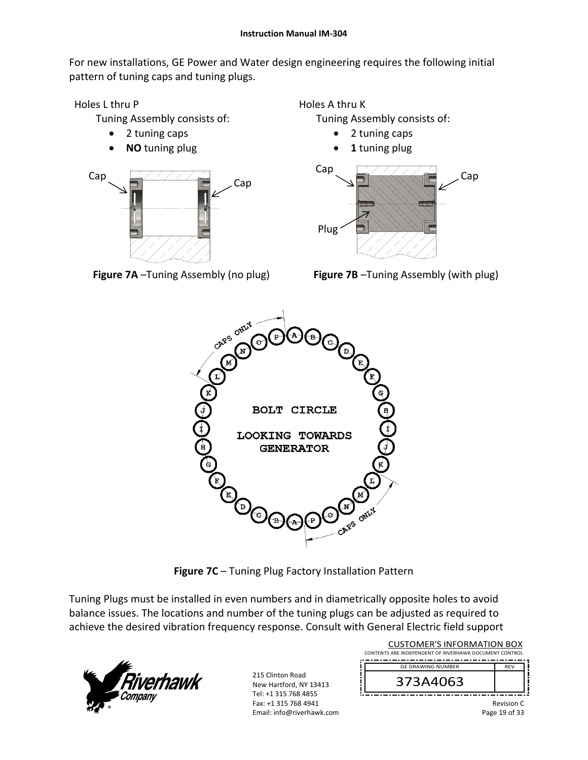For new installations, GE Power and Water design engineering requires the following initial pattern of tuning caps and tuning plugs.

Holes L thru P

Tuning Assembly consists of:

- 2 tuning caps
- **NO** tuning plug



**Figure 7A** –Tuning Assembly (no plug)

Holes A thru K Tuning Assembly consists of:

- 2 tuning caps
- **1** tuning plug



**Figure 7B** –Tuning Assembly (with plug)



**Figure 7C** – Tuning Plug Factory Installation Pattern

Tuning Plugs must be installed in even numbers and in diametrically opposite holes to avoid balance issues. The locations and number of the tuning plugs can be adjusted as required to achieve the desired vibration frequency response. Consult with General Electric field support



| <b>CUSTOMER'S INFORMATION BOX</b><br>CONTENTS ARE INDEPENDENT OF RIVERHAWK DOCUMENT CONTROL |                   |
|---------------------------------------------------------------------------------------------|-------------------|
| <b>GE DRAWING NUMBER</b>                                                                    | <b>RFV</b>        |
| 373A4063                                                                                    |                   |
|                                                                                             | <b>Dovision</b> C |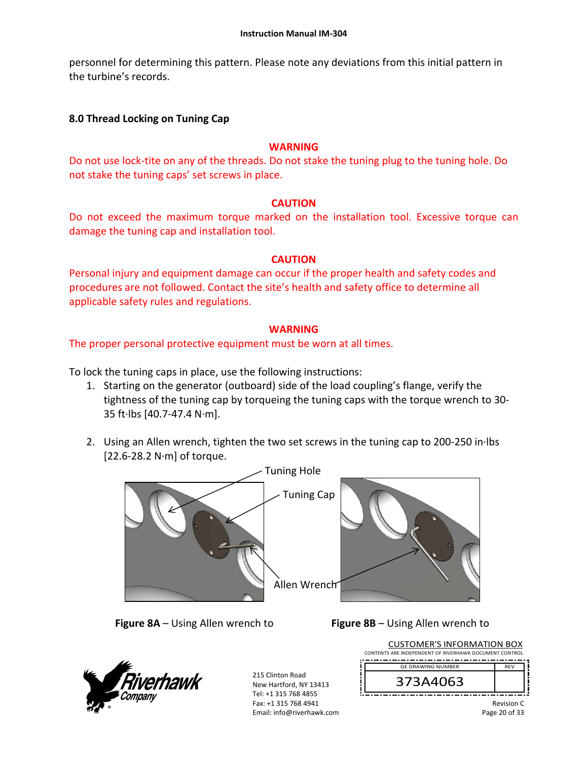personnel for determining this pattern. Please note any deviations from this initial pattern in the turbine's records.

## **8.0 Thread Locking on Tuning Cap**

#### **WARNING**

Do not use lock‐tite on any of the threads. Do not stake the tuning plug to the tuning hole. Do not stake the tuning caps' set screws in place.

#### **CAUTION**

Do not exceed the maximum torque marked on the installation tool. Excessive torque can damage the tuning cap and installation tool.

### **CAUTION**

Personal injury and equipment damage can occur if the proper health and safety codes and procedures are not followed. Contact the site's health and safety office to determine all applicable safety rules and regulations.

### **WARNING**

The proper personal protective equipment must be worn at all times.

To lock the tuning caps in place, use the following instructions:

- 1. Starting on the generator (outboard) side of the load coupling's flange, verify the tightness of the tuning cap by torqueing the tuning caps with the torque wrench to 30‐ 35 ft∙lbs [40.7‐47.4 N∙m].
- 2. Using an Allen wrench, tighten the two set screws in the tuning cap to 200‐250 in∙lbs [22.6‐28.2 N∙m] of torque.



**Figure 8A** – Using Allen wrench to **Figure 8B** – Using Allen wrench to



| <b>CUSTOMER'S INFORMATION BOX</b>                      |            |  |
|--------------------------------------------------------|------------|--|
| CONTENTS ARE INDEPENDENT OF RIVERHAWK DOCUMENT CONTROL |            |  |
| <b>GE DRAWING NUMBER</b>                               | <b>RFV</b> |  |
| 373A4063                                               |            |  |
|                                                        | Revision C |  |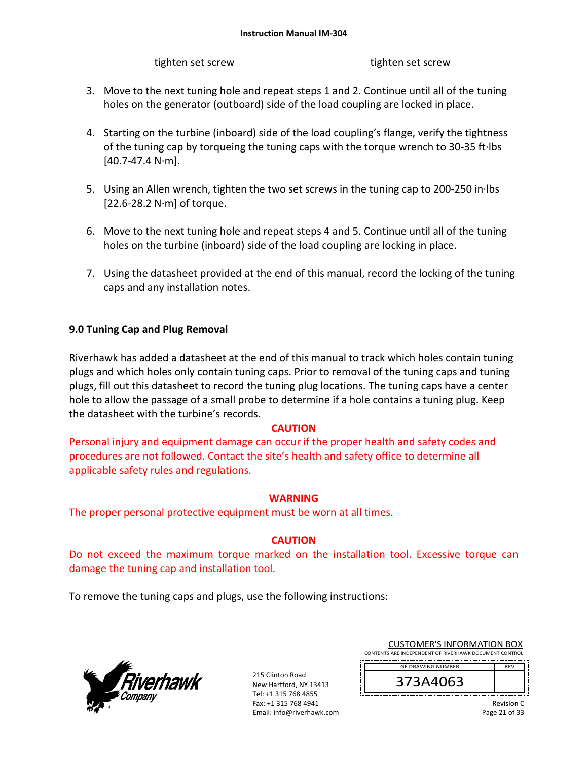tighten set screw Theorem and tighten set screw

- 3. Move to the next tuning hole and repeat steps 1 and 2. Continue until all of the tuning holes on the generator (outboard) side of the load coupling are locked in place.
- 4. Starting on the turbine (inboard) side of the load coupling's flange, verify the tightness of the tuning cap by torqueing the tuning caps with the torque wrench to 30‐35 ft∙lbs [40.7‐47.4 N∙m].
- 5. Using an Allen wrench, tighten the two set screws in the tuning cap to 200‐250 in∙lbs [22.6‐28.2 N∙m] of torque.
- 6. Move to the next tuning hole and repeat steps 4 and 5. Continue until all of the tuning holes on the turbine (inboard) side of the load coupling are locking in place.
- 7. Using the datasheet provided at the end of this manual, record the locking of the tuning caps and any installation notes.

## **9.0 Tuning Cap and Plug Removal**

Riverhawk has added a datasheet at the end of this manual to track which holes contain tuning plugs and which holes only contain tuning caps. Prior to removal of the tuning caps and tuning plugs, fill out this datasheet to record the tuning plug locations. The tuning caps have a center hole to allow the passage of a small probe to determine if a hole contains a tuning plug. Keep the datasheet with the turbine's records.

### **CAUTION**

Personal injury and equipment damage can occur if the proper health and safety codes and procedures are not followed. Contact the site's health and safety office to determine all applicable safety rules and regulations.

### **WARNING**

The proper personal protective equipment must be worn at all times.

## **CAUTION**

Do not exceed the maximum torque marked on the installation tool. Excessive torque can damage the tuning cap and installation tool.

To remove the tuning caps and plugs, use the following instructions:



215 Clinton Road New Hartford, NY 13413 Tel: +1 315 768 4855 Fax: +1 315 768 4941 Email: info@riverhawk.com

| <b>CUSTOMER'S INFORMATION BOX</b>                      |
|--------------------------------------------------------|
| CONTENTS ARE INDEPENDENT OF RIVERHAWK DOCUMENT CONTROL |
| -----------------------<br>_____________               |



Revision C Page 21 of 33

REV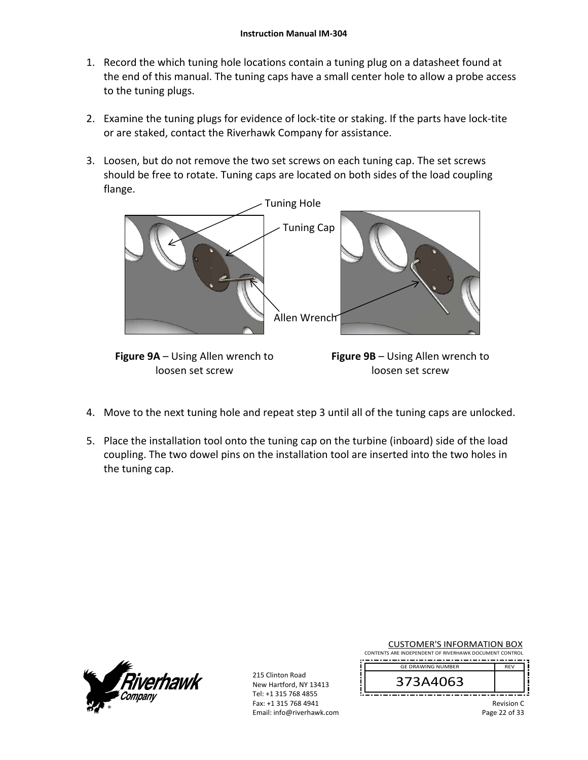- 1. Record the which tuning hole locations contain a tuning plug on a datasheet found at the end of this manual. The tuning caps have a small center hole to allow a probe access to the tuning plugs.
- 2. Examine the tuning plugs for evidence of lock-tite or staking. If the parts have lock-tite or are staked, contact the Riverhawk Company for assistance.
- 3. Loosen, but do not remove the two set screws on each tuning cap. The set screws should be free to rotate. Tuning caps are located on both sides of the load coupling flange.



**Figure 9A** – Using Allen wrench to loosen set screw

**Figure 9B** – Using Allen wrench to loosen set screw

- 4. Move to the next tuning hole and repeat step 3 until all of the tuning caps are unlocked.
- 5. Place the installation tool onto the tuning cap on the turbine (inboard) side of the load coupling. The two dowel pins on the installation tool are inserted into the two holes in the tuning cap.



215 Clinton Road New Hartford, NY 13413 Tel: +1 315 768 4855 Fax: +1 315 768 4941 Email: info@riverhawk.com

| CONTENTS ARE INDEPENDENT OF RIVERHAWK DOCUMENT CONTROL |            |
|--------------------------------------------------------|------------|
| <b>GE DRAWING NUMBER</b>                               | <b>RFV</b> |
| 373A4063                                               |            |

CUSTOMER'S INFORMATION BOX

Revision C Page 22 of 33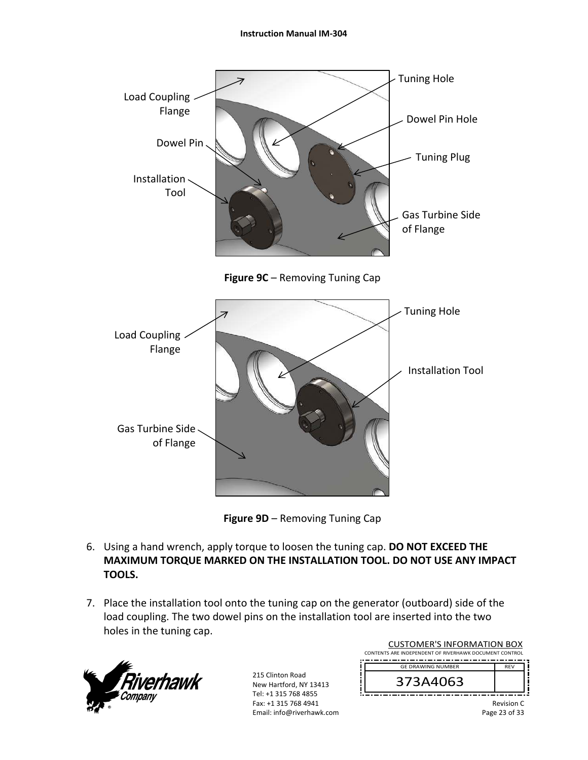



**Figure 9D** – Removing Tuning Cap

- 6. Using a hand wrench, apply torque to loosen the tuning cap. **DO NOT EXCEED THE MAXIMUM TORQUE MARKED ON THE INSTALLATION TOOL. DO NOT USE ANY IMPACT TOOLS.**
- 7. Place the installation tool onto the tuning cap on the generator (outboard) side of the load coupling. The two dowel pins on the installation tool are inserted into the two holes in the tuning cap.



| <b>CUSTOMER'S INFORMATION BOX</b><br>CONTENTS ARE INDEPENDENT OF RIVERHAWK DOCUMENT CONTROL |            |
|---------------------------------------------------------------------------------------------|------------|
| <b>GE DRAWING NUMBER</b>                                                                    | <b>RFV</b> |
| 373A4063                                                                                    |            |
|                                                                                             | Revision C |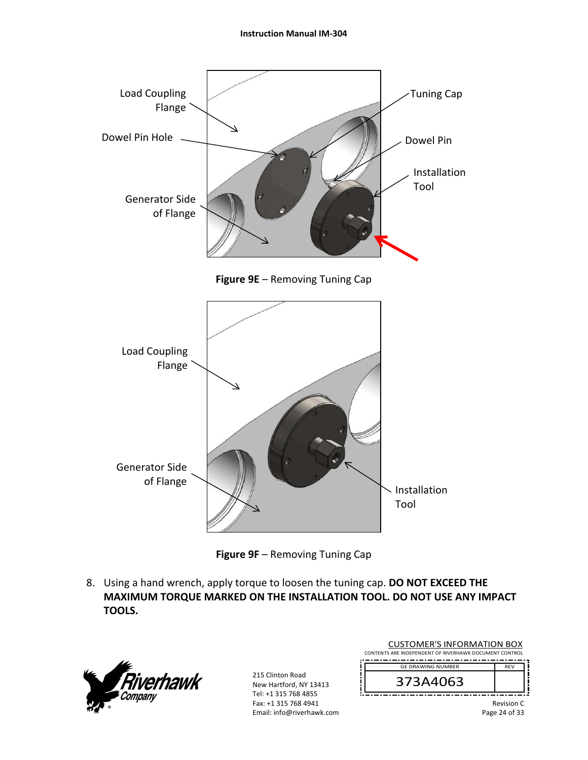

**Figure 9E** – Removing Tuning Cap





8. Using a hand wrench, apply torque to loosen the tuning cap. **DO NOT EXCEED THE MAXIMUM TORQUE MARKED ON THE INSTALLATION TOOL. DO NOT USE ANY IMPACT TOOLS.**



| <b>CUSTOMER'S INFORMATION BOX</b><br>CONTENTS ARE INDEPENDENT OF RIVERHAWK DOCUMENT CONTROL |                                    |
|---------------------------------------------------------------------------------------------|------------------------------------|
| <b>GF DRAWING NUMBER</b>                                                                    | <b>RFV</b>                         |
| 373A4063                                                                                    |                                    |
|                                                                                             | <b>Revision C</b><br>Page 24 of 33 |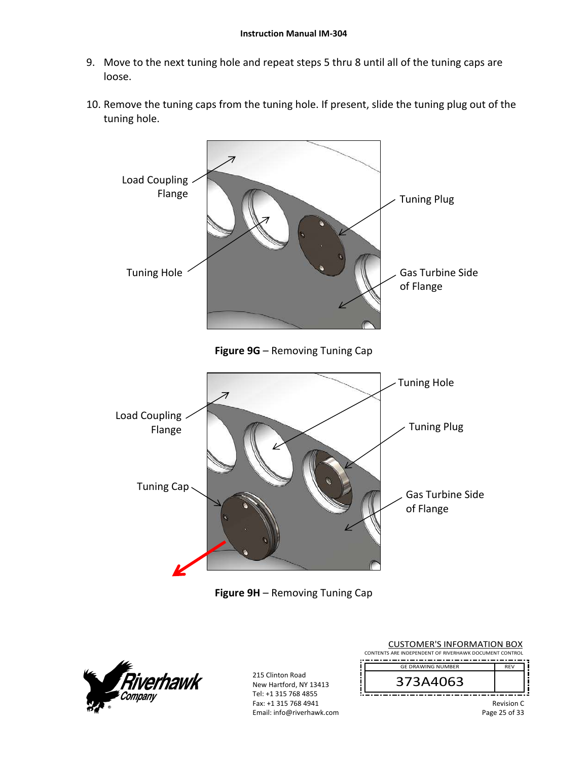- 9. Move to the next tuning hole and repeat steps 5 thru 8 until all of the tuning caps are loose.
- 10. Remove the tuning caps from the tuning hole. If present, slide the tuning plug out of the tuning hole.







| <b>CUSTOMER'S INFORMATION BOX</b>                      |            |
|--------------------------------------------------------|------------|
| CONTENTS ARE INDEPENDENT OF RIVERHAWK DOCUMENT CONTROL |            |
| <b>GE DRAWING NUMBER</b>                               | <b>RFV</b> |
| 373A4063                                               |            |
|                                                        | Revision C |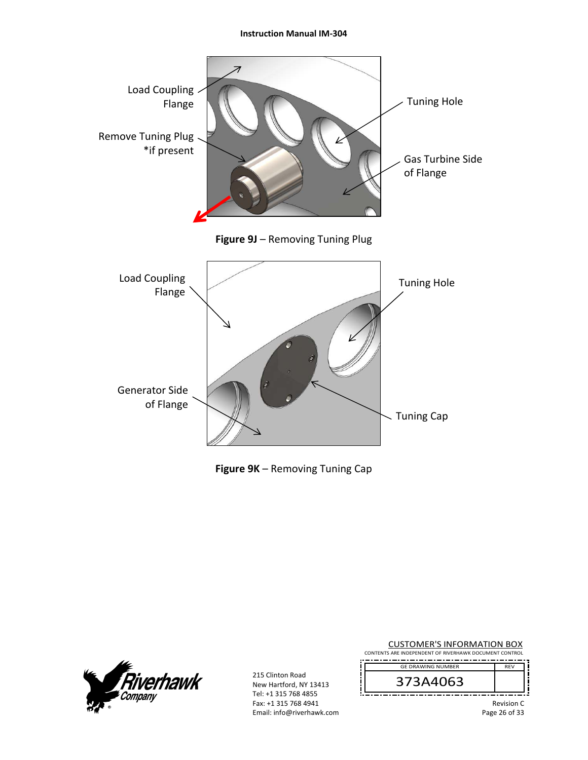

|  |  | Figure 9K - Removing Tuning Cap |
|--|--|---------------------------------|
|--|--|---------------------------------|



215 Clinton Road New Hartford, NY 13413 Tel: +1 315 768 4855 Fax: +1 315 768 4941 Email: info@riverhawk.com

|                                         | <b>CUSTOMER'S INFORMATION BOX</b><br>CONTENTS ARE INDEPENDENT OF RIVERHAWK DOCUMENT CONTROL |            |  |
|-----------------------------------------|---------------------------------------------------------------------------------------------|------------|--|
|                                         | <b>GE DRAWING NUMBER</b>                                                                    | <b>RFV</b> |  |
|                                         | 373A4063                                                                                    |            |  |
| <b>Revision C</b><br>$D - - - 2C - 522$ |                                                                                             |            |  |

Page 26 of 33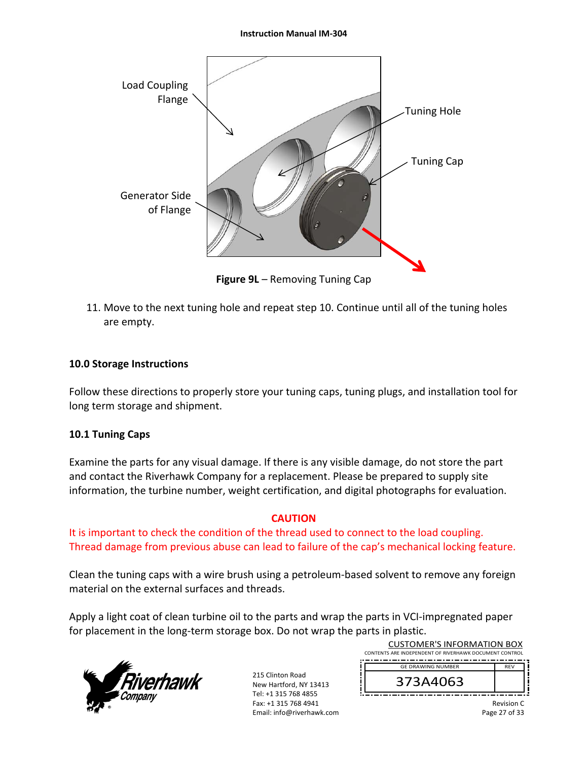

**Figure 9L** – Removing Tuning Cap

11. Move to the next tuning hole and repeat step 10. Continue until all of the tuning holes are empty.

### **10.0 Storage Instructions**

Follow these directions to properly store your tuning caps, tuning plugs, and installation tool for long term storage and shipment.

### **10.1 Tuning Caps**

Examine the parts for any visual damage. If there is any visible damage, do not store the part and contact the Riverhawk Company for a replacement. Please be prepared to supply site information, the turbine number, weight certification, and digital photographs for evaluation.

### **CAUTION**

It is important to check the condition of the thread used to connect to the load coupling. Thread damage from previous abuse can lead to failure of the cap's mechanical locking feature.

Clean the tuning caps with a wire brush using a petroleum‐based solvent to remove any foreign material on the external surfaces and threads.

Apply a light coat of clean turbine oil to the parts and wrap the parts in VCI-impregnated paper for placement in the long-term storage box. Do not wrap the parts in plastic.



215 Clinton Road New Hartford, NY 13413 Tel: +1 315 768 4855 Fax: +1 315 768 4941 Email: info@riverhawk.com ׀<br>׀

| <b>CUSTOMER'S INFORMATION BOX</b>                      |            |
|--------------------------------------------------------|------------|
| CONTENTS ARE INDEPENDENT OF RIVERHAWK DOCUMENT CONTROL |            |
|                                                        | <b>RFV</b> |
| <b>GE DRAWING NUMBER</b>                               |            |
| 373A4063                                               |            |
|                                                        |            |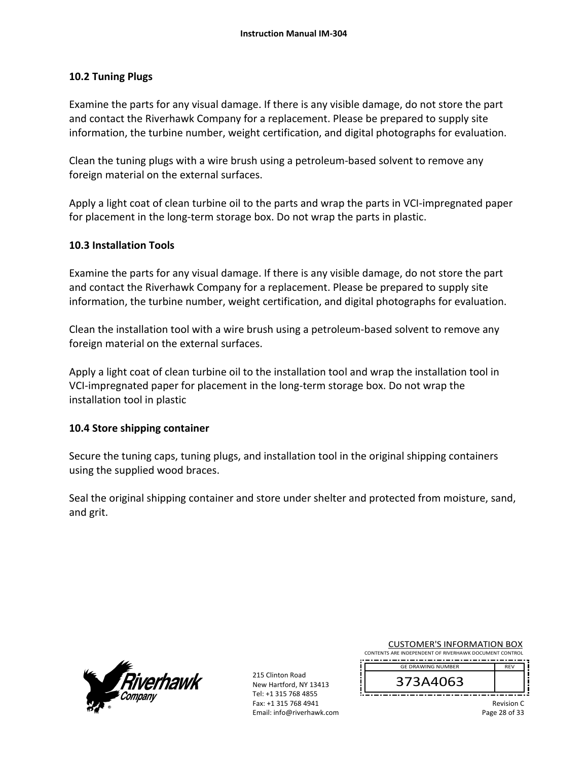## **10.2 Tuning Plugs**

Examine the parts for any visual damage. If there is any visible damage, do not store the part and contact the Riverhawk Company for a replacement. Please be prepared to supply site information, the turbine number, weight certification, and digital photographs for evaluation.

Clean the tuning plugs with a wire brush using a petroleum‐based solvent to remove any foreign material on the external surfaces.

Apply a light coat of clean turbine oil to the parts and wrap the parts in VCI‐impregnated paper for placement in the long-term storage box. Do not wrap the parts in plastic.

### **10.3 Installation Tools**

Examine the parts for any visual damage. If there is any visible damage, do not store the part and contact the Riverhawk Company for a replacement. Please be prepared to supply site information, the turbine number, weight certification, and digital photographs for evaluation.

Clean the installation tool with a wire brush using a petroleum‐based solvent to remove any foreign material on the external surfaces.

Apply a light coat of clean turbine oil to the installation tool and wrap the installation tool in VCI‐impregnated paper for placement in the long‐term storage box. Do not wrap the installation tool in plastic

### **10.4 Store shipping container**

Secure the tuning caps, tuning plugs, and installation tool in the original shipping containers using the supplied wood braces.

Seal the original shipping container and store under shelter and protected from moisture, sand, and grit.



215 Clinton Road New Hartford, NY 13413 Tel: +1 315 768 4855 Fax: +1 315 768 4941 Email: info@riverhawk.com CUSTOMER'S INFORMATION BOX

CONTENTS ARE INDEPENDENT OF RIVERHAWK DOCUMENT CONTROL REV GE DRAWING NUMBER

373A4063

Revision C Page 28 of 33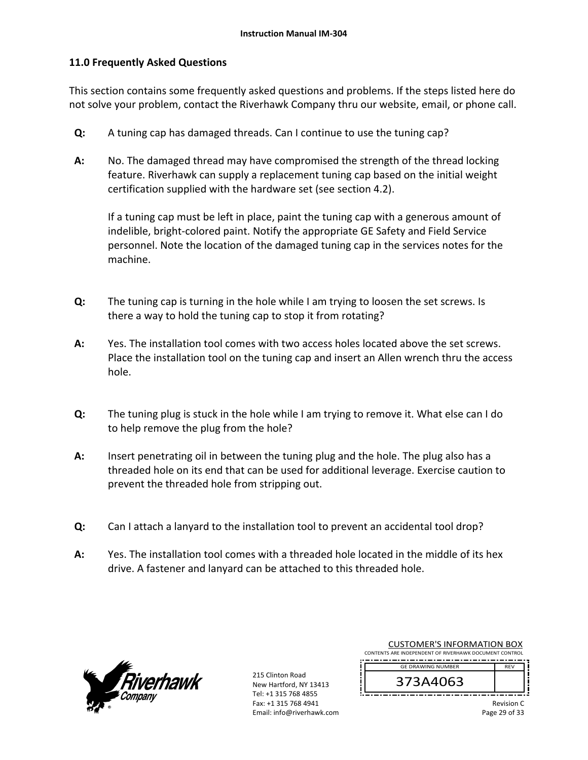## **11.0 Frequently Asked Questions**

This section contains some frequently asked questions and problems. If the steps listed here do not solve your problem, contact the Riverhawk Company thru our website, email, or phone call.

- **Q:**  A tuning cap has damaged threads. Can I continue to use the tuning cap?
- **A:**  No. The damaged thread may have compromised the strength of the thread locking feature. Riverhawk can supply a replacement tuning cap based on the initial weight certification supplied with the hardware set (see section 4.2).

If a tuning cap must be left in place, paint the tuning cap with a generous amount of indelible, bright‐colored paint. Notify the appropriate GE Safety and Field Service personnel. Note the location of the damaged tuning cap in the services notes for the machine.

- **Q:**  The tuning cap is turning in the hole while I am trying to loosen the set screws. Is there a way to hold the tuning cap to stop it from rotating?
- **A:**  Yes. The installation tool comes with two access holes located above the set screws. Place the installation tool on the tuning cap and insert an Allen wrench thru the access hole.
- **Q:**  The tuning plug is stuck in the hole while I am trying to remove it. What else can I do to help remove the plug from the hole?
- **A:**  Insert penetrating oil in between the tuning plug and the hole. The plug also has a threaded hole on its end that can be used for additional leverage. Exercise caution to prevent the threaded hole from stripping out.
- **Q:**  Can I attach a lanyard to the installation tool to prevent an accidental tool drop?
- **A:**  Yes. The installation tool comes with a threaded hole located in the middle of its hex drive. A fastener and lanyard can be attached to this threaded hole.



215 Clinton Road New Hartford, NY 13413 Tel: +1 315 768 4855 Fax: +1 315 768 4941 Email: info@riverhawk.com

| CONTENTS ARE INDEPENDENT OF RIVERHAWK DOCUMENT CONTROL |     |
|--------------------------------------------------------|-----|
| <b>GE DRAWING NUMBER</b>                               | RFV |
| 373A4063                                               |     |
|                                                        |     |

CUSTOMER'S INFORMATION BOX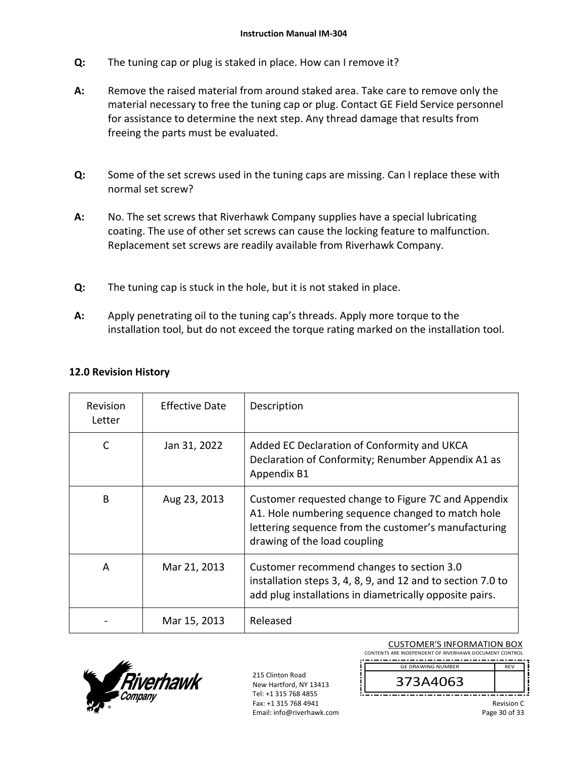- **Q:**  The tuning cap or plug is staked in place. How can I remove it?
- **A:**  Remove the raised material from around staked area. Take care to remove only the material necessary to free the tuning cap or plug. Contact GE Field Service personnel for assistance to determine the next step. Any thread damage that results from freeing the parts must be evaluated.
- **Q:**  Some of the set screws used in the tuning caps are missing. Can I replace these with normal set screw?
- **A:**  No. The set screws that Riverhawk Company supplies have a special lubricating coating. The use of other set screws can cause the locking feature to malfunction. Replacement set screws are readily available from Riverhawk Company.
- **Q:**  The tuning cap is stuck in the hole, but it is not staked in place.
- **A:**  Apply penetrating oil to the tuning cap's threads. Apply more torque to the installation tool, but do not exceed the torque rating marked on the installation tool.

| Revision<br>Letter | <b>Effective Date</b> | Description                                                                                                                                                                                      |
|--------------------|-----------------------|--------------------------------------------------------------------------------------------------------------------------------------------------------------------------------------------------|
| C                  | Jan 31, 2022          | Added EC Declaration of Conformity and UKCA<br>Declaration of Conformity; Renumber Appendix A1 as<br>Appendix B1                                                                                 |
| B                  | Aug 23, 2013          | Customer requested change to Figure 7C and Appendix<br>A1. Hole numbering sequence changed to match hole<br>lettering sequence from the customer's manufacturing<br>drawing of the load coupling |
| A                  | Mar 21, 2013          | Customer recommend changes to section 3.0<br>installation steps 3, 4, 8, 9, and 12 and to section 7.0 to<br>add plug installations in diametrically opposite pairs.                              |
|                    | Mar 15, 2013          | Released                                                                                                                                                                                         |

## **12.0 Revision History**



215 Clinton Road New Hartford, NY 13413 Tel: +1 315 768 4855 Fax: +1 315 768 4941 Email: info@riverhawk.com

CUSTOMER'S INFORMATION BOX CONTENTS ARE INDEPENDENT OF RIVERHAWK DOCUMENT CONTROL 

REV GE DRAWING NUMBER

373A4063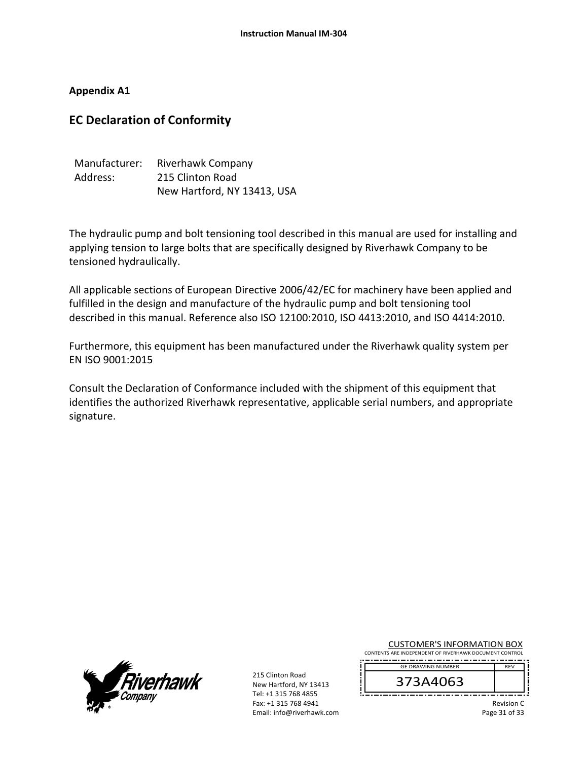**Appendix A1** 

## **EC Declaration of Conformity**

| Manufacturer: | Riverhawk Company           |
|---------------|-----------------------------|
| Address:      | 215 Clinton Road            |
|               | New Hartford, NY 13413, USA |

The hydraulic pump and bolt tensioning tool described in this manual are used for installing and applying tension to large bolts that are specifically designed by Riverhawk Company to be tensioned hydraulically.

All applicable sections of European Directive 2006/42/EC for machinery have been applied and fulfilled in the design and manufacture of the hydraulic pump and bolt tensioning tool described in this manual. Reference also ISO 12100:2010, ISO 4413:2010, and ISO 4414:2010.

Furthermore, this equipment has been manufactured under the Riverhawk quality system per EN ISO 9001:2015

Consult the Declaration of Conformance included with the shipment of this equipment that identifies the authorized Riverhawk representative, applicable serial numbers, and appropriate signature.



215 Clinton Road New Hartford, NY 13413 Tel: +1 315 768 4855 Fax: +1 315 768 4941 Email: info@riverhawk.com

| <b>CUSTOMER'S INFORMATION BOX</b>                      |  |  |
|--------------------------------------------------------|--|--|
| CONTENTS ARE INDEPENDENT OF RIVERHAWK DOCUMENT CONTROL |  |  |

 REV GE DRAWING NUMBER



Revision C Page 31 of 33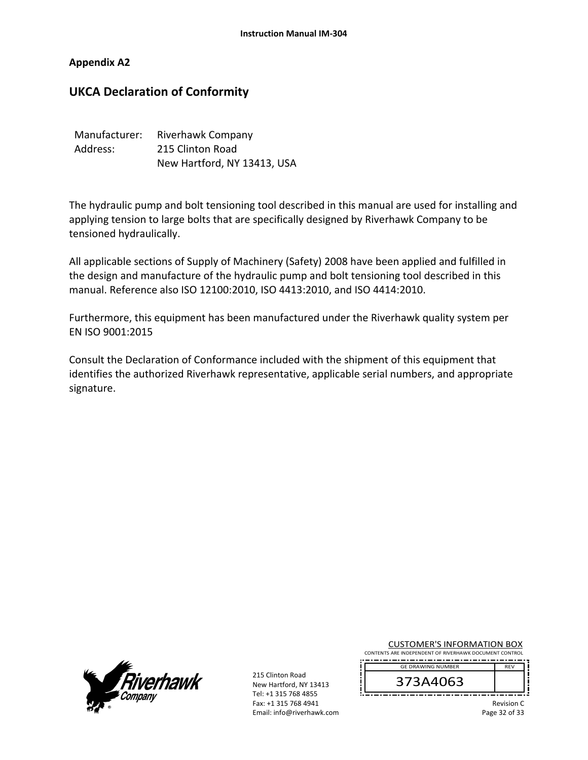#### **Appendix A2**

## **UKCA Declaration of Conformity**

| Manufacturer: | Riverhawk Company           |
|---------------|-----------------------------|
| Address:      | 215 Clinton Road            |
|               | New Hartford, NY 13413, USA |

The hydraulic pump and bolt tensioning tool described in this manual are used for installing and applying tension to large bolts that are specifically designed by Riverhawk Company to be tensioned hydraulically.

All applicable sections of Supply of Machinery (Safety) 2008 have been applied and fulfilled in the design and manufacture of the hydraulic pump and bolt tensioning tool described in this manual. Reference also ISO 12100:2010, ISO 4413:2010, and ISO 4414:2010.

Furthermore, this equipment has been manufactured under the Riverhawk quality system per EN ISO 9001:2015

Consult the Declaration of Conformance included with the shipment of this equipment that identifies the authorized Riverhawk representative, applicable serial numbers, and appropriate signature.



215 Clinton Road New Hartford, NY 13413 Tel: +1 315 768 4855 Fax: +1 315 768 4941 Email: info@riverhawk.com

| <b>CUSTOMER'S INFORMATION BOX</b>                      |  |  |
|--------------------------------------------------------|--|--|
| CONTENTS ARE INDEPENDENT OF RIVERHAWK DOCUMENT CONTROL |  |  |

 REV GE DRAWING NUMBER

373A4063

Revision C Page 32 of 33